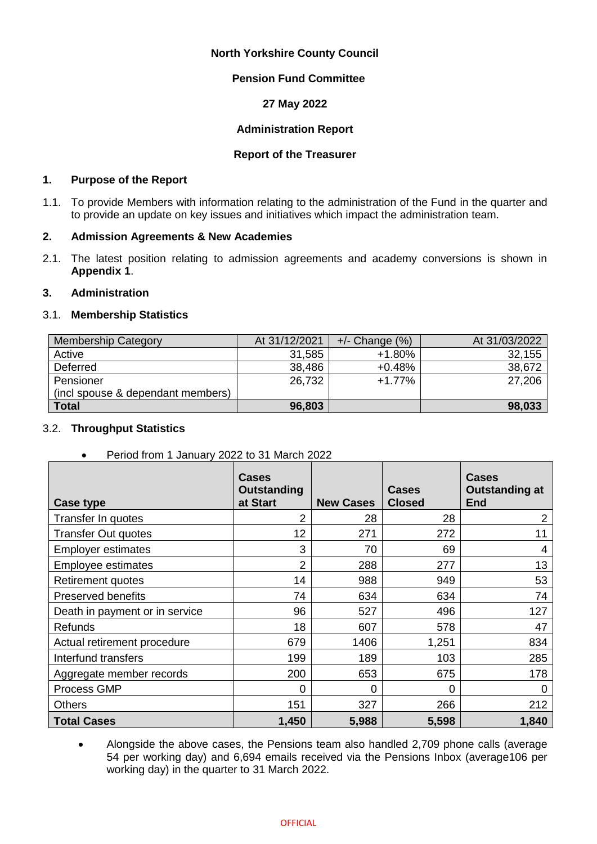## **North Yorkshire County Council**

## **Pension Fund Committee**

## **27 May 2022**

# **Administration Report**

### **Report of the Treasurer**

### **1. Purpose of the Report**

1.1. To provide Members with information relating to the administration of the Fund in the quarter and to provide an update on key issues and initiatives which impact the administration team.

### **2. Admission Agreements & New Academies**

2.1. The latest position relating to admission agreements and academy conversions is shown in **Appendix 1**.

## **3. Administration**

### 3.1. **Membership Statistics**

| <b>Membership Category</b>        | At 31/12/2021 | $+/-$ Change $(\%)$ | At 31/03/2022 |
|-----------------------------------|---------------|---------------------|---------------|
| Active                            | 31,585        | $+1.80%$            | 32,155        |
| Deferred                          | 38,486        | $+0.48%$            | 38,672        |
| Pensioner                         | 26,732        | $+1.77%$            | 27,206        |
| (incl spouse & dependant members) |               |                     |               |
| <b>Total</b>                      | 96,803        |                     | 98,033        |

# 3.2. **Throughput Statistics**

Period from 1 January 2022 to 31 March 2022

| Case type                      | Cases<br><b>Outstanding</b><br>at Start | <b>New Cases</b> | Cases<br><b>Closed</b> | <b>Cases</b><br><b>Outstanding at</b><br><b>End</b> |
|--------------------------------|-----------------------------------------|------------------|------------------------|-----------------------------------------------------|
| Transfer In quotes             | 2                                       | 28               | 28                     | 2                                                   |
| <b>Transfer Out quotes</b>     | 12                                      | 271              | 272                    | 11                                                  |
| <b>Employer estimates</b>      | 3                                       | 70               | 69                     | 4                                                   |
| Employee estimates             | $\overline{2}$                          | 288              | 277                    | 13                                                  |
| Retirement quotes              | 14                                      | 988              | 949                    | 53                                                  |
| <b>Preserved benefits</b>      | 74                                      | 634              | 634                    | 74                                                  |
| Death in payment or in service | 96                                      | 527              | 496                    | 127                                                 |
| <b>Refunds</b>                 | 18                                      | 607              | 578                    | 47                                                  |
| Actual retirement procedure    | 679                                     | 1406             | 1,251                  | 834                                                 |
| Interfund transfers            | 199                                     | 189              | 103                    | 285                                                 |
| Aggregate member records       | 200                                     | 653              | 675                    | 178                                                 |
| Process GMP                    | 0                                       | 0                | 0                      | 0                                                   |
| <b>Others</b>                  | 151                                     | 327              | 266                    | 212                                                 |
| <b>Total Cases</b>             | 1,450                                   | 5,988            | 5,598                  | 1,840                                               |

 Alongside the above cases, the Pensions team also handled 2,709 phone calls (average 54 per working day) and 6,694 emails received via the Pensions Inbox (average106 per working day) in the quarter to 31 March 2022.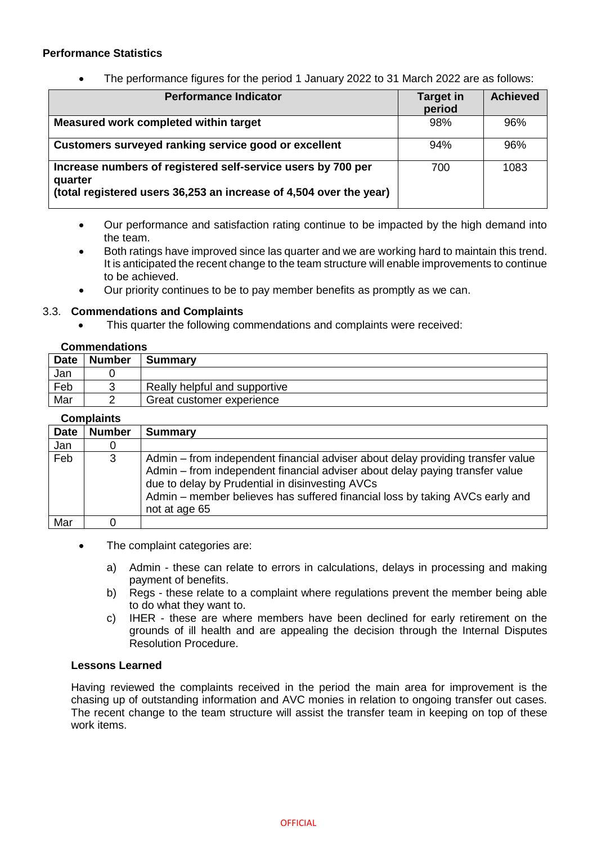# **Performance Statistics**

• The performance figures for the period 1 January 2022 to 31 March 2022 are as follows:

| <b>Performance Indicator</b>                                                                                                                  | <b>Target in</b><br>period | <b>Achieved</b> |
|-----------------------------------------------------------------------------------------------------------------------------------------------|----------------------------|-----------------|
| Measured work completed within target                                                                                                         | 98%                        | 96%             |
| Customers surveyed ranking service good or excellent                                                                                          | 94%                        | 96%             |
| Increase numbers of registered self-service users by 700 per<br>quarter<br>(total registered users 36,253 an increase of 4,504 over the year) | 700                        | 1083            |

- Our performance and satisfaction rating continue to be impacted by the high demand into the team.
- Both ratings have improved since las quarter and we are working hard to maintain this trend. It is anticipated the recent change to the team structure will enable improvements to continue to be achieved.
- Our priority continues to be to pay member benefits as promptly as we can.

### 3.3. **Commendations and Complaints**

This quarter the following commendations and complaints were received:

### **Commendations**

| <b>Date</b> | <b>Number</b> | <b>Summary</b>                |
|-------------|---------------|-------------------------------|
| Jan         |               |                               |
| Feb         |               | Really helpful and supportive |
| Mar         |               | Great customer experience     |

|             | <b>Complaints</b> |                                                                                                                                                                                                                                                                                                                     |
|-------------|-------------------|---------------------------------------------------------------------------------------------------------------------------------------------------------------------------------------------------------------------------------------------------------------------------------------------------------------------|
| <b>Date</b> | <b>Number</b>     | <b>Summary</b>                                                                                                                                                                                                                                                                                                      |
| Jan         |                   |                                                                                                                                                                                                                                                                                                                     |
| Feb         | 3                 | Admin – from independent financial adviser about delay providing transfer value<br>Admin – from independent financial adviser about delay paying transfer value<br>due to delay by Prudential in disinvesting AVCs<br>Admin – member believes has suffered financial loss by taking AVCs early and<br>not at age 65 |
| Mar         |                   |                                                                                                                                                                                                                                                                                                                     |

- The complaint categories are:
	- a) Admin these can relate to errors in calculations, delays in processing and making payment of benefits.
	- b) Regs these relate to a complaint where regulations prevent the member being able to do what they want to.
	- c) IHER these are where members have been declined for early retirement on the grounds of ill health and are appealing the decision through the Internal Disputes Resolution Procedure.

# **Lessons Learned**

Having reviewed the complaints received in the period the main area for improvement is the chasing up of outstanding information and AVC monies in relation to ongoing transfer out cases. The recent change to the team structure will assist the transfer team in keeping on top of these work items.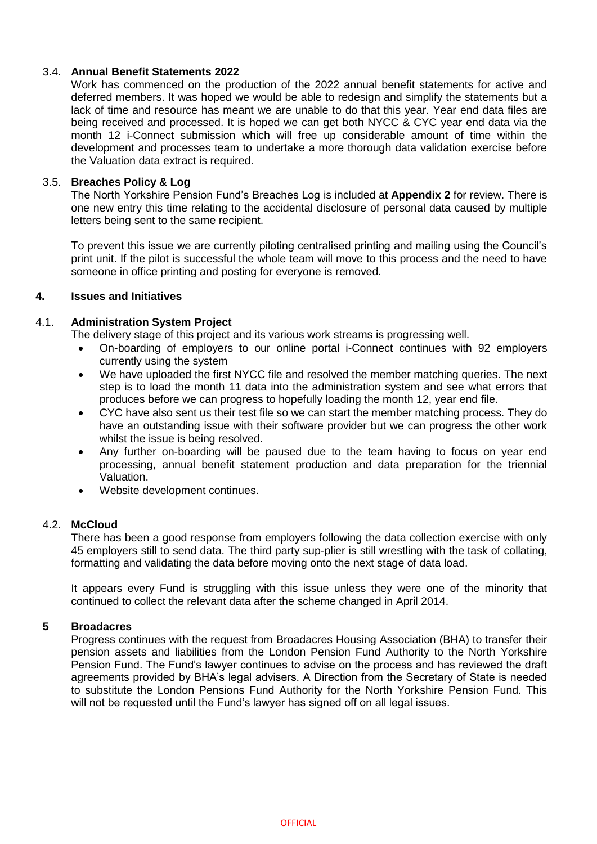## 3.4. **Annual Benefit Statements 2022**

Work has commenced on the production of the 2022 annual benefit statements for active and deferred members. It was hoped we would be able to redesign and simplify the statements but a lack of time and resource has meant we are unable to do that this year. Year end data files are being received and processed. It is hoped we can get both NYCC & CYC year end data via the month 12 i-Connect submission which will free up considerable amount of time within the development and processes team to undertake a more thorough data validation exercise before the Valuation data extract is required.

### 3.5. **Breaches Policy & Log**

The North Yorkshire Pension Fund's Breaches Log is included at **Appendix 2** for review. There is one new entry this time relating to the accidental disclosure of personal data caused by multiple letters being sent to the same recipient.

To prevent this issue we are currently piloting centralised printing and mailing using the Council's print unit. If the pilot is successful the whole team will move to this process and the need to have someone in office printing and posting for everyone is removed.

#### **4. Issues and Initiatives**

#### 4.1. **Administration System Project**

The delivery stage of this project and its various work streams is progressing well.

- On-boarding of employers to our online portal i-Connect continues with 92 employers currently using the system
- We have uploaded the first NYCC file and resolved the member matching queries. The next step is to load the month 11 data into the administration system and see what errors that produces before we can progress to hopefully loading the month 12, year end file.
- CYC have also sent us their test file so we can start the member matching process. They do have an outstanding issue with their software provider but we can progress the other work whilst the issue is being resolved.
- Any further on-boarding will be paused due to the team having to focus on year end processing, annual benefit statement production and data preparation for the triennial Valuation.
- Website development continues.

#### 4.2. **McCloud**

There has been a good response from employers following the data collection exercise with only 45 employers still to send data. The third party sup-plier is still wrestling with the task of collating, formatting and validating the data before moving onto the next stage of data load.

It appears every Fund is struggling with this issue unless they were one of the minority that continued to collect the relevant data after the scheme changed in April 2014.

### **5 Broadacres**

Progress continues with the request from Broadacres Housing Association (BHA) to transfer their pension assets and liabilities from the London Pension Fund Authority to the North Yorkshire Pension Fund. The Fund's lawyer continues to advise on the process and has reviewed the draft agreements provided by BHA's legal advisers. A Direction from the Secretary of State is needed to substitute the London Pensions Fund Authority for the North Yorkshire Pension Fund. This will not be requested until the Fund's lawyer has signed off on all legal issues.